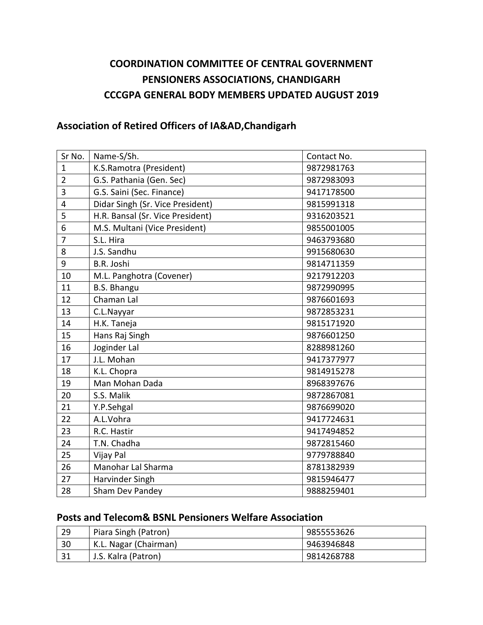# **COORDINATION COMMITTEE OF CENTRAL GOVERNMENT PENSIONERS ASSOCIATIONS, CHANDIGARH CCCGPA GENERAL BODY MEMBERS UPDATED AUGUST 2019**

# **Association of Retired Officers of IA&AD,Chandigarh**

| Sr No.                  | Name-S/Sh.                       | Contact No. |
|-------------------------|----------------------------------|-------------|
| $\mathbf{1}$            | K.S.Ramotra (President)          | 9872981763  |
| $\overline{2}$          | G.S. Pathania (Gen. Sec)         | 9872983093  |
| 3                       | G.S. Saini (Sec. Finance)        | 9417178500  |
| $\overline{\mathbf{4}}$ | Didar Singh (Sr. Vice President) | 9815991318  |
| 5                       | H.R. Bansal (Sr. Vice President) | 9316203521  |
| 6                       | M.S. Multani (Vice President)    | 9855001005  |
| $\overline{7}$          | S.L. Hira                        | 9463793680  |
| 8                       | J.S. Sandhu                      | 9915680630  |
| 9                       | B.R. Joshi                       | 9814711359  |
| 10                      | M.L. Panghotra (Covener)         | 9217912203  |
| 11                      | <b>B.S. Bhangu</b>               | 9872990995  |
| 12                      | Chaman Lal                       | 9876601693  |
| 13                      | C.L.Nayyar                       | 9872853231  |
| 14                      | H.K. Taneja                      | 9815171920  |
| 15                      | Hans Raj Singh                   | 9876601250  |
| 16                      | Joginder Lal                     | 8288981260  |
| 17                      | J.L. Mohan                       | 9417377977  |
| 18                      | K.L. Chopra                      | 9814915278  |
| 19                      | Man Mohan Dada                   | 8968397676  |
| 20                      | S.S. Malik                       | 9872867081  |
| 21                      | Y.P.Sehgal                       | 9876699020  |
| 22                      | A.L.Vohra                        | 9417724631  |
| 23                      | R.C. Hastir                      | 9417494852  |
| 24                      | T.N. Chadha                      | 9872815460  |
| 25                      | Vijay Pal                        | 9779788840  |
| 26                      | Manohar Lal Sharma               | 8781382939  |
| 27                      | Harvinder Singh                  | 9815946477  |
| 28                      | Sham Dev Pandey                  | 9888259401  |

#### **Posts and Telecom& BSNL Pensioners Welfare Association**

| 29 | Piara Singh (Patron)  | 9855553626 |
|----|-----------------------|------------|
| 30 | K.L. Nagar (Chairman) | 9463946848 |
| 31 | J.S. Kalra (Patron)   | 9814268788 |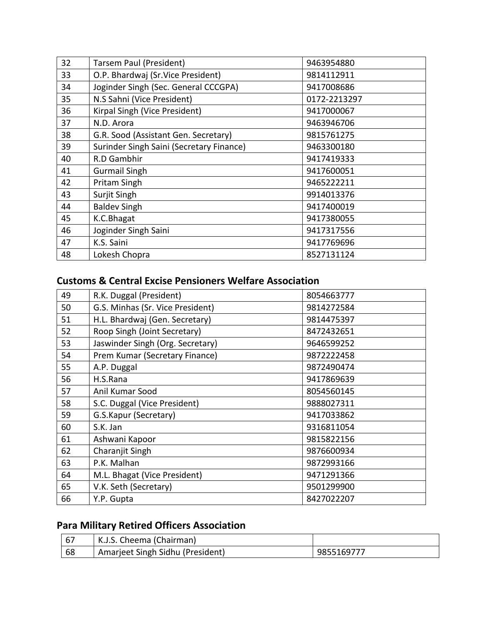| 32 | Tarsem Paul (President)                  | 9463954880   |
|----|------------------------------------------|--------------|
| 33 | O.P. Bhardwaj (Sr.Vice President)        | 9814112911   |
| 34 | Joginder Singh (Sec. General CCCGPA)     | 9417008686   |
| 35 | N.S Sahni (Vice President)               | 0172-2213297 |
| 36 | Kirpal Singh (Vice President)            | 9417000067   |
| 37 | N.D. Arora                               | 9463946706   |
| 38 | G.R. Sood (Assistant Gen. Secretary)     | 9815761275   |
| 39 | Surinder Singh Saini (Secretary Finance) | 9463300180   |
| 40 | R.D Gambhir                              | 9417419333   |
| 41 | <b>Gurmail Singh</b>                     | 9417600051   |
| 42 | Pritam Singh                             | 9465222211   |
| 43 | Surjit Singh                             | 9914013376   |
| 44 | <b>Baldev Singh</b>                      | 9417400019   |
| 45 | K.C.Bhagat                               | 9417380055   |
| 46 | Joginder Singh Saini                     | 9417317556   |
| 47 | K.S. Saini                               | 9417769696   |
| 48 | Lokesh Chopra                            | 8527131124   |

# **Customs & Central Excise Pensioners Welfare Association**

| 49 | R.K. Duggal (President)          | 8054663777 |
|----|----------------------------------|------------|
| 50 | G.S. Minhas (Sr. Vice President) | 9814272584 |
| 51 | H.L. Bhardwaj (Gen. Secretary)   | 9814475397 |
| 52 | Roop Singh (Joint Secretary)     | 8472432651 |
| 53 | Jaswinder Singh (Org. Secretary) | 9646599252 |
| 54 | Prem Kumar (Secretary Finance)   | 9872222458 |
| 55 | A.P. Duggal                      | 9872490474 |
| 56 | H.S.Rana                         | 9417869639 |
| 57 | Anil Kumar Sood                  | 8054560145 |
| 58 | S.C. Duggal (Vice President)     | 9888027311 |
| 59 | G.S.Kapur (Secretary)            | 9417033862 |
| 60 | S.K. Jan                         | 9316811054 |
| 61 | Ashwani Kapoor                   | 9815822156 |
| 62 | Charanjit Singh                  | 9876600934 |
| 63 | P.K. Malhan                      | 9872993166 |
| 64 | M.L. Bhagat (Vice President)     | 9471291366 |
| 65 | V.K. Seth (Secretary)            | 9501299900 |
| 66 | Y.P. Gupta                       | 8427022207 |

# **Para Military Retired Officers Association**

| l 67 | K.J.S. Cheema (Chairman)         |            |
|------|----------------------------------|------------|
| -68  | Amarjeet Singh Sidhu (President) | 9855169777 |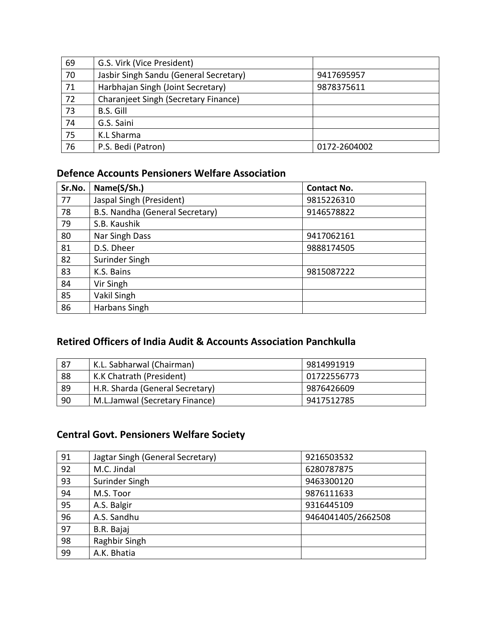| 69 | G.S. Virk (Vice President)             |              |
|----|----------------------------------------|--------------|
| 70 | Jasbir Singh Sandu (General Secretary) | 9417695957   |
| 71 | Harbhajan Singh (Joint Secretary)      | 9878375611   |
| 72 | Charanjeet Singh (Secretary Finance)   |              |
| 73 | B.S. Gill                              |              |
| 74 | G.S. Saini                             |              |
| 75 | K.L Sharma                             |              |
| 76 | P.S. Bedi (Patron)                     | 0172-2604002 |

#### **Defence Accounts Pensioners Welfare Association**

| Sr.No. | Name(S/Sh.)                     | <b>Contact No.</b> |
|--------|---------------------------------|--------------------|
| 77     | Jaspal Singh (President)        | 9815226310         |
| 78     | B.S. Nandha (General Secretary) | 9146578822         |
| 79     | S.B. Kaushik                    |                    |
| 80     | Nar Singh Dass                  | 9417062161         |
| 81     | D.S. Dheer                      | 9888174505         |
| 82     | Surinder Singh                  |                    |
| 83     | K.S. Bains                      | 9815087222         |
| 84     | Vir Singh                       |                    |
| 85     | Vakil Singh                     |                    |
| 86     | Harbans Singh                   |                    |

# **Retired Officers of India Audit & Accounts Association Panchkulla**

| 87 | K.L. Sabharwal (Chairman)       | 9814991919  |
|----|---------------------------------|-------------|
| 88 | K.K Chatrath (President)        | 01722556773 |
| 89 | H.R. Sharda (General Secretary) | 9876426609  |
| 90 | M.L.Jamwal (Secretary Finance)  | 9417512785  |

# **Central Govt. Pensioners Welfare Society**

| 91 | Jagtar Singh (General Secretary) | 9216503532         |
|----|----------------------------------|--------------------|
| 92 | M.C. Jindal                      | 6280787875         |
| 93 | Surinder Singh                   | 9463300120         |
| 94 | M.S. Toor                        | 9876111633         |
| 95 | A.S. Balgir                      | 9316445109         |
| 96 | A.S. Sandhu                      | 9464041405/2662508 |
| 97 | B.R. Bajaj                       |                    |
| 98 | Raghbir Singh                    |                    |
| 99 | A.K. Bhatia                      |                    |